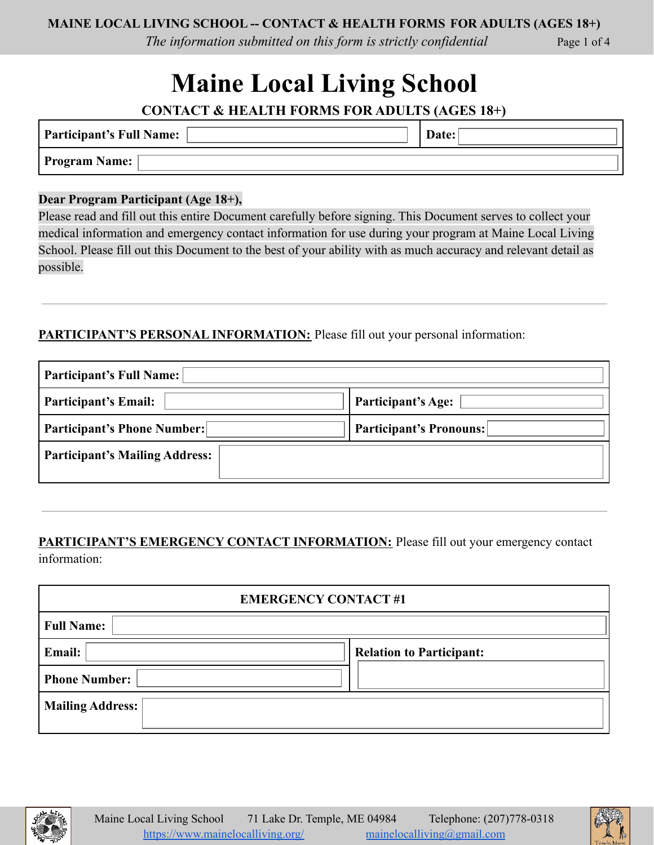*The information submitted on this form is strictly confidential* Page 1 of 4

# **Maine Local Living School**

**CONTACT & HEALTH FORMS FOR ADULTS (AGES 18+)**

| <b>Participant's Full Name:</b> | Jate: |
|---------------------------------|-------|
| <b>Program Name:</b>            |       |

#### **Dear Program Participant (Age 18+),**

Please read and fill out this entire Document carefully before signing. This Document serves to collect your medical information and emergency contact information for use during your program at Maine Local Living School. Please fill out this Document to the best of your ability with as much accuracy and relevant detail as possible.

## **PARTICIPANT'S PERSONAL INFORMATION:** Please fill out your personal information:

| <b>Participant's Full Name:</b>       |                                |  |
|---------------------------------------|--------------------------------|--|
| <b>Participant's Email:</b>           | Participant's Age:             |  |
| <b>Participant's Phone Number:</b>    | <b>Participant's Pronouns:</b> |  |
| <b>Participant's Mailing Address:</b> |                                |  |

## **PARTICIPANT'S EMERGENCY CONTACT INFORMATION:** Please fill out your emergency contact information:

| <b>EMERGENCY CONTACT#1</b> |                                 |  |
|----------------------------|---------------------------------|--|
| <b>Full Name:</b>          |                                 |  |
| <b>Email:</b>              | <b>Relation to Participant:</b> |  |
| <b>Phone Number:</b>       |                                 |  |
| <b>Mailing Address:</b>    |                                 |  |



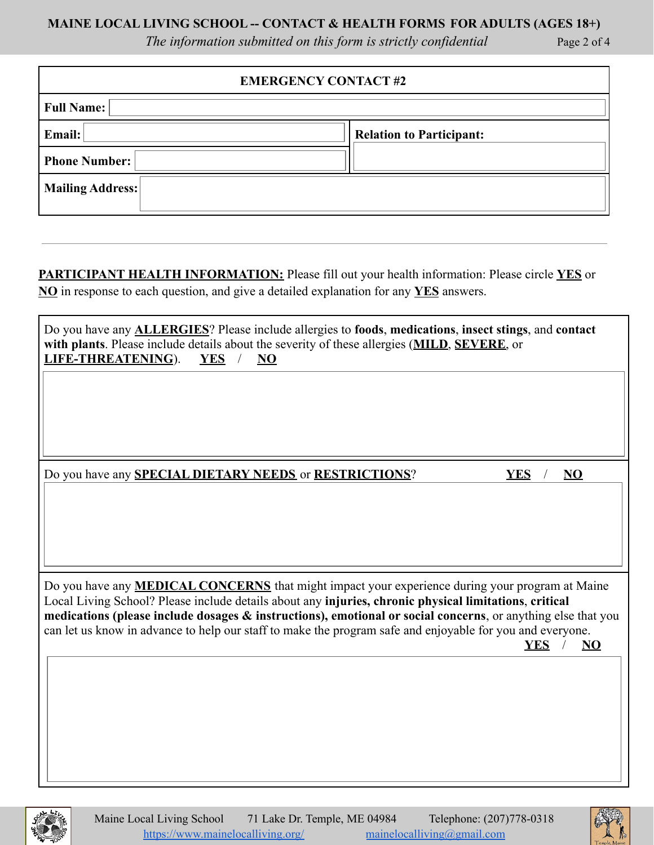#### **MAINE LOCAL LIVING SCHOOL -- CONTACT & HEALTH FORMS FOR ADULTS (AGES 18+)**

*The information submitted on this form is strictly confidential* Page 2 of 4

| <b>EMERGENCY CONTACT#2</b> |                                 |  |
|----------------------------|---------------------------------|--|
| <b>Full Name:</b>          |                                 |  |
| Email:                     | <b>Relation to Participant:</b> |  |
| <b>Phone Number:</b>       |                                 |  |
| <b>Mailing Address:</b>    |                                 |  |

**PARTICIPANT HEALTH INFORMATION:** Please fill out your health information: Please circle **YES** or **NO** in response to each question, and give a detailed explanation for any **YES** answers.

| Do you have any <b>ALLERGIES</b> ? Please include allergies to foods, medications, insect stings, and contact<br>with plants. Please include details about the severity of these allergies (MILD, SEVERE, or<br><b>LIFE-THREATENING</b> ). $\Box$ YES / $\Box$ NO |
|-------------------------------------------------------------------------------------------------------------------------------------------------------------------------------------------------------------------------------------------------------------------|
|                                                                                                                                                                                                                                                                   |
|                                                                                                                                                                                                                                                                   |
| Do you have any <b>SPECIAL DIETARY NEEDS</b> or <b>RESTRICTIONS</b> ?<br>$\square$ YES<br>/ $\Box$ NO                                                                                                                                                             |
|                                                                                                                                                                                                                                                                   |
|                                                                                                                                                                                                                                                                   |
| Do you have any <b>MEDICAL CONCERNS</b> that might impact your experience during your program at Maine<br>Local Living School? Please include details about any injuries, chronic physical limitations, critical                                                  |
| medications (please include dosages & instructions), emotional or social concerns, or anything else that you<br>can let us know in advance to help our staff to make the program safe and enjoyable for you and everyone.                                         |
| $\square$ YES<br>/ $\square \underline{NO}$                                                                                                                                                                                                                       |
|                                                                                                                                                                                                                                                                   |
|                                                                                                                                                                                                                                                                   |